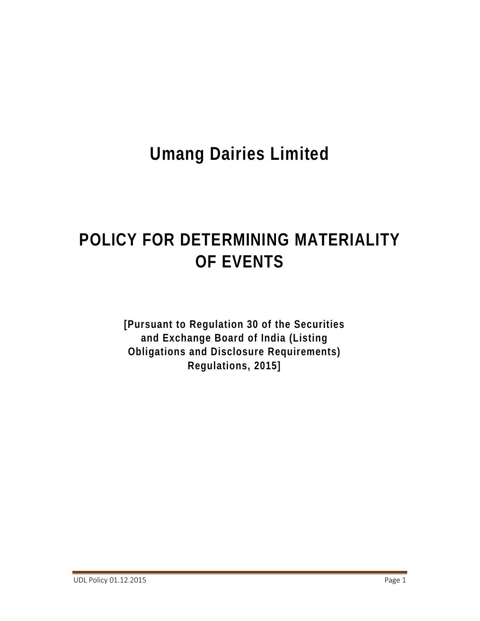# **Umang Dairies Limited**

# **POLICY FOR DETERMINING MATERIALITY OF EVENTS**

**[Pursuant to Regulation 30 of the Securities and Exchange Board of India (Listing Obligations and Disclosure Requirements) Regulations, 2015]**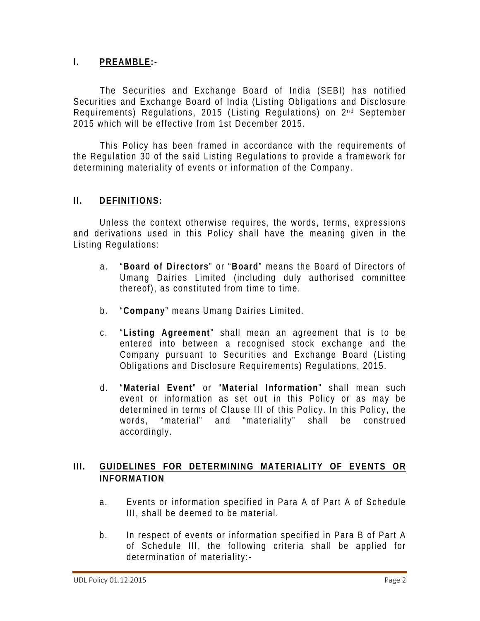#### **I. PREAMBLE:-**

The Securities and Exchange Board of India (SEBI) has notified Securities and Exchange Board of India (Listing Obligations and Disclosure Requirements) Regulations, 2015 (Listing Regulations) on 2<sup>nd</sup> September 2015 which will be effective from 1st December 2015.

This Policy has been framed in accordance with the requirements of the Regulation 30 of the said Listing Regulations to provide a framework for determining materiality of events or information of the Company.

#### **II. DEFINITIONS:**

Unless the context otherwise requires, the words, terms, expressions and derivations used in this Policy shall have the meaning given in the Listing Regulations:

- a. "**Board of Directors**" or "**Board**" means the Board of Directors of Umang Dairies Limited (including duly authorised committee thereof), as constituted from time to time.
- b. "**Company**" means Umang Dairies Limited.
- c. "**Listing Agreement**" shall mean an agreement that is to be entered into between a recognised stock exchange and the Company pursuant to Securities and Exchange Board (Listing Obligations and Disclosure Requirements) Regulations, 2015.
- d. "**Material Event**" or "**Material Information**" shall mean such event or information as set out in this Policy or as may be determined in terms of Clause III of this Policy. In this Policy, the words, "material" and "materiality" shall be construed accordingly.

#### **III. GUIDELINES FOR DETERMINING MATERIALITY OF EVENTS OR INFORMATION**

- a. Events or information specified in Para A of Part A of Schedule III, shall be deemed to be material.
- b. In respect of events or information specified in Para B of Part A of Schedule III, the following criteria shall be applied for determination of materiality:-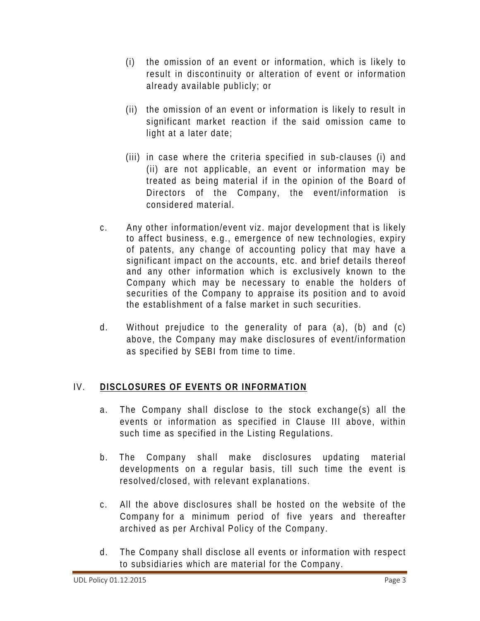- (i) the omission of an event or information, which is likely to result in discontinuity or alteration of event or information already available publicly; or
- (ii) the omission of an event or information is likely to result in significant market reaction if the said omission came to light at a later date;
- (iii) in case where the criteria specified in sub-clauses (i) and (ii) are not applicable, an event or information may be treated as being material if in the opinion of the Board of Directors of the Company, the event/information is considered material.
- c. Any other information/event viz. major development that is likely to affect business, e.g., emergence of new technologies, expiry of patents, any change of accounting policy that may have a significant impact on the accounts, etc. and brief details thereof and any other information which is exclusively known to the Company which may be necessary to enable the holders of securities of the Company to appraise its position and to avoid the establishment of a false market in such securities.
- d. Without prejudice to the generality of para (a), (b) and (c) above, the Company may make disclosures of event/information as specified by SEBI from time to time.

## IV. **DISCLOSURES OF EVENTS OR INFORMATION**

- a. The Company shall disclose to the stock exchange(s) all the events or information as specified in Clause III above, within such time as specified in the Listing Regulations.
- b. The Company shall make disclosures updating material developments on a regular basis, till such time the event is resolved/closed, with relevant explanations.
- c. All the above disclosures shall be hosted on the website of the Company for a minimum period of five years and thereafter archived as per Archival Policy of the Company.
- d. The Company shall disclose all events or information with respect to subsidiaries which are material for the Company.